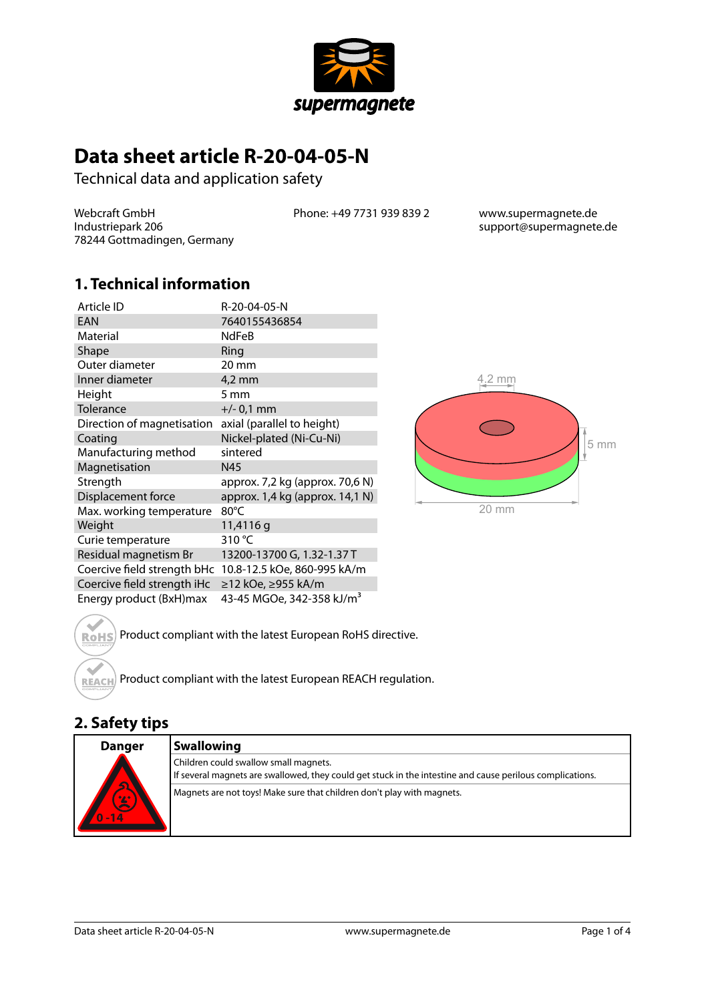

# **Data sheet article R-20-04-05-N**

Technical data and application safety

Webcraft GmbH Industriepark 206 78244 Gottmadingen, Germany Phone: +49 7731 939 839 2 www.supermagnete.de

support@supermagnete.de

#### **1. Technical information**

| Article ID                  | R-20-04-05-N                          |       |
|-----------------------------|---------------------------------------|-------|
| <b>EAN</b>                  | 7640155436854                         |       |
| Material                    | NdFeB                                 |       |
| Shape                       | Ring                                  |       |
| Outer diameter              | 20 mm                                 |       |
| Inner diameter              | $4,2$ mm                              |       |
| Height                      | 5 mm                                  |       |
| Tolerance                   | $+/- 0.1$ mm                          |       |
| Direction of magnetisation  | axial (parallel to height)            |       |
| Coating                     | Nickel-plated (Ni-Cu-Ni)              |       |
| Manufacturing method        | sintered                              |       |
| Magnetisation               | N45                                   |       |
| Strength                    | approx. 7,2 kg (approx. 70,6 N)       |       |
| Displacement force          | approx. 1,4 kg (approx. 14,1 N)       |       |
| Max. working temperature    | $80^{\circ}$ C                        | 20 mm |
| Weight                      | 11,4116 g                             |       |
| Curie temperature           | 310 $\degree$ C                       |       |
| Residual magnetism Br       | 13200-13700 G, 1.32-1.37 T            |       |
| Coercive field strength bHc | 10.8-12.5 kOe, 860-995 kA/m           |       |
| Coercive field strength iHc | ≥12 kOe, ≥955 kA/m                    |       |
| Energy product (BxH)max     | 43-45 MGOe, 342-358 kJ/m <sup>3</sup> |       |



Product compliant with the latest European RoHS directive. **RoHS** 

Product compliant with the latest European REACH regulation. **REACH** 

#### **2. Safety tips**

 $\triangle$ 

| <b>Danger</b>                            | <b>Swallowing</b>                                                                                                                                  |
|------------------------------------------|----------------------------------------------------------------------------------------------------------------------------------------------------|
| $\overline{\mathbf{S}}$<br>0/20<br>$-14$ | Children could swallow small magnets.<br>If several magnets are swallowed, they could get stuck in the intestine and cause perilous complications. |
|                                          | Magnets are not toys! Make sure that children don't play with magnets.                                                                             |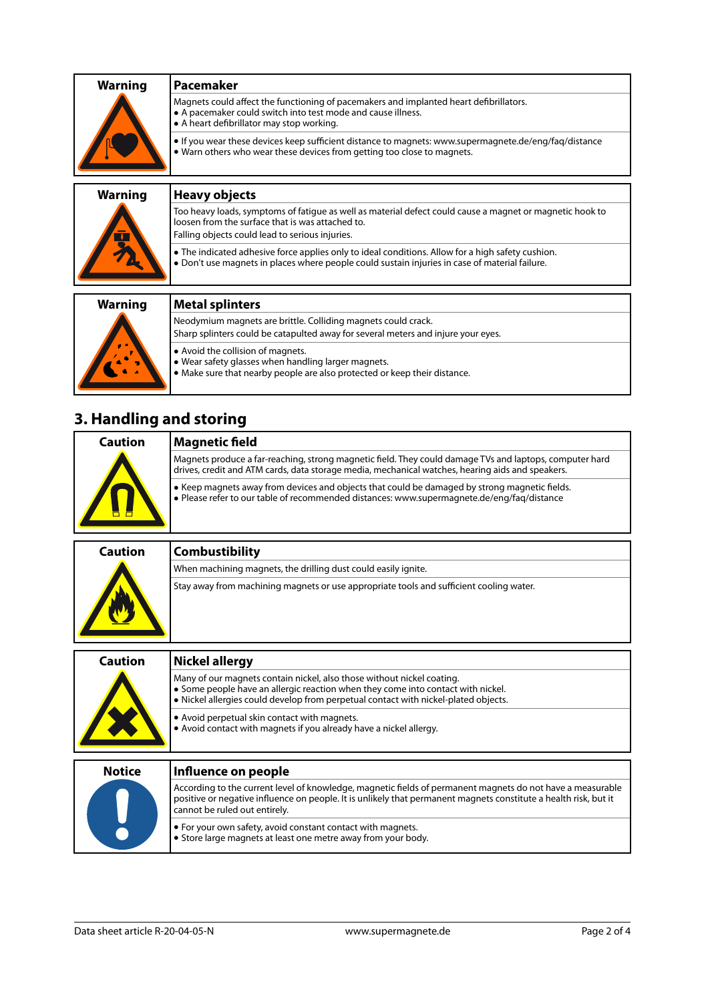| <b>Warning</b> | 'Pacemaker                                                                                                                                                                                          |
|----------------|-----------------------------------------------------------------------------------------------------------------------------------------------------------------------------------------------------|
|                | Magnets could affect the functioning of pacemakers and implanted heart defibrillators.<br>• A pacemaker could switch into test mode and cause illness.<br>• A heart defibrillator may stop working. |
|                | • If you wear these devices keep sufficient distance to magnets: www.supermagnete.de/eng/fag/distance<br>. Warn others who wear these devices from getting too close to magnets.                    |
|                |                                                                                                                                                                                                     |

| <b>Heavy objects</b>                                                                                                                                                                                            |
|-----------------------------------------------------------------------------------------------------------------------------------------------------------------------------------------------------------------|
| Too heavy loads, symptoms of fatique as well as material defect could cause a magnet or magnetic hook to<br>loosen from the surface that is was attached to.<br>Falling objects could lead to serious injuries. |
| • The indicated adhesive force applies only to ideal conditions. Allow for a high safety cushion.<br>. Don't use magnets in places where people could sustain injuries in case of material failure.             |
| <b>Metal splinters</b>                                                                                                                                                                                          |
|                                                                                                                                                                                                                 |
| Neodymium magnets are brittle. Colliding magnets could crack.                                                                                                                                                   |
| Sharp splinters could be catapulted away for several meters and injure your eyes.                                                                                                                               |
|                                                                                                                                                                                                                 |

- **•** Avoid the collision of magnets.
- **•** Wear safety glasses when handling larger magnets.
- **•** Make sure that nearby people are also protected or keep their distance.

# **3. Handling and storing**

| Caution | Magnetic field                                                                                                                                                                                              |
|---------|-------------------------------------------------------------------------------------------------------------------------------------------------------------------------------------------------------------|
|         | Magnets produce a far-reaching, strong magnetic field. They could damage TVs and laptops, computer hard<br>drives, credit and ATM cards, data storage media, mechanical watches, hearing aids and speakers. |
|         | ● Keep magnets away from devices and objects that could be damaged by strong magnetic fields.<br>Please refer to our table of recommended distances: www.supermagnete.de/eng/faq/distance                   |

| Caution | <b>Combustibility</b>                                                                   |
|---------|-----------------------------------------------------------------------------------------|
|         | When machining magnets, the drilling dust could easily ignite.                          |
|         | Stay away from machining magnets or use appropriate tools and sufficient cooling water. |

| Caution       | <b>Nickel allergy</b>                                                                                                                                                                                                                                           |
|---------------|-----------------------------------------------------------------------------------------------------------------------------------------------------------------------------------------------------------------------------------------------------------------|
|               | Many of our magnets contain nickel, also those without nickel coating.<br>• Some people have an allergic reaction when they come into contact with nickel.<br>. Nickel allergies could develop from perpetual contact with nickel-plated objects.               |
|               | • Avoid perpetual skin contact with magnets.<br>• Avoid contact with magnets if you already have a nickel allergy.                                                                                                                                              |
| <b>Notice</b> | Influence on people                                                                                                                                                                                                                                             |
|               | According to the current level of knowledge, magnetic fields of permanent magnets do not have a measurable<br>positive or negative influence on people. It is unlikely that permanent magnets constitute a health risk, but it<br>cannot be ruled out entirely. |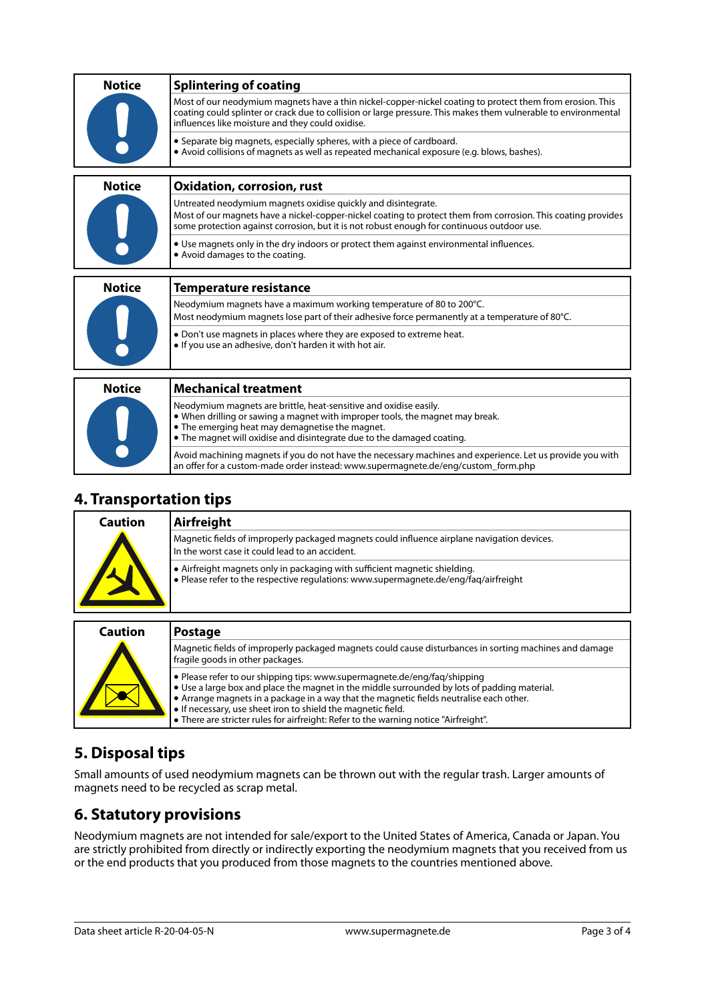| <b>Notice</b> | <b>Splintering of coating</b>                                                                                                                                                                                                                                                    |  |
|---------------|----------------------------------------------------------------------------------------------------------------------------------------------------------------------------------------------------------------------------------------------------------------------------------|--|
|               | Most of our neodymium magnets have a thin nickel-copper-nickel coating to protect them from erosion. This<br>coating could splinter or crack due to collision or large pressure. This makes them vulnerable to environmental<br>influences like moisture and they could oxidise. |  |
|               | • Separate big magnets, especially spheres, with a piece of cardboard.<br>• Avoid collisions of magnets as well as repeated mechanical exposure (e.g. blows, bashes).                                                                                                            |  |
| <b>Notice</b> | <b>Oxidation, corrosion, rust</b>                                                                                                                                                                                                                                                |  |
|               | Untreated neodymium magnets oxidise quickly and disintegrate.                                                                                                                                                                                                                    |  |
|               | Most of our magnets have a nickel-copper-nickel coating to protect them from corrosion. This coating provides<br>some protection against corrosion, but it is not robust enough for continuous outdoor use.                                                                      |  |
|               | • Use magnets only in the dry indoors or protect them against environmental influences.<br>• Avoid damages to the coating.                                                                                                                                                       |  |
|               |                                                                                                                                                                                                                                                                                  |  |
| <b>Notice</b> | <b>Temperature resistance</b>                                                                                                                                                                                                                                                    |  |
|               | Neodymium magnets have a maximum working temperature of 80 to 200°C.                                                                                                                                                                                                             |  |
|               | Most neodymium magnets lose part of their adhesive force permanently at a temperature of 80°C.                                                                                                                                                                                   |  |
|               |                                                                                                                                                                                                                                                                                  |  |
|               | • Don't use magnets in places where they are exposed to extreme heat.<br>. If you use an adhesive, don't harden it with hot air.                                                                                                                                                 |  |
|               |                                                                                                                                                                                                                                                                                  |  |
| <b>Notice</b> | <b>Mechanical treatment</b>                                                                                                                                                                                                                                                      |  |
|               |                                                                                                                                                                                                                                                                                  |  |
|               | Neodymium magnets are brittle, heat-sensitive and oxidise easily.<br>• When drilling or sawing a magnet with improper tools, the magnet may break.<br>• The emerging heat may demagnetise the magnet.                                                                            |  |
|               | • The magnet will oxidise and disintegrate due to the damaged coating.                                                                                                                                                                                                           |  |
|               |                                                                                                                                                                                                                                                                                  |  |

#### **4. Transportation tips**

| Caution | Airfreight                                                                                                                                                         |
|---------|--------------------------------------------------------------------------------------------------------------------------------------------------------------------|
|         | Magnetic fields of improperly packaged magnets could influence airplane navigation devices.<br>In the worst case it could lead to an accident.                     |
|         | • Airfreight magnets only in packaging with sufficient magnetic shielding.<br>. Please refer to the respective regulations: www.supermagnete.de/eng/faq/airfreight |

an offer for a custom-made order instead: [www.supermagnete.de/eng/custom\\_form.php](http://www.supermagnete.de/eng/custom_form.php)

| <b>Caution</b> | <b>Postage</b>                                                                                                                                                                                                                                                                                                                                                                                                                       |
|----------------|--------------------------------------------------------------------------------------------------------------------------------------------------------------------------------------------------------------------------------------------------------------------------------------------------------------------------------------------------------------------------------------------------------------------------------------|
|                | Magnetic fields of improperly packaged magnets could cause disturbances in sorting machines and damage<br>fragile goods in other packages.                                                                                                                                                                                                                                                                                           |
|                | • Please refer to our shipping tips: www.supermagnete.de/eng/fag/shipping<br>$\bullet$ Use a large box and place the magnet in the middle surrounded by lots of padding material.<br>• Arrange magnets in a package in a way that the magnetic fields neutralise each other.<br>. If necessary, use sheet iron to shield the magnetic field.<br>• There are stricter rules for airfreight: Refer to the warning notice "Airfreight". |

## **5. Disposal tips**

Small amounts of used neodymium magnets can be thrown out with the regular trash. Larger amounts of magnets need to be recycled as scrap metal.

### **6. Statutory provisions**

Neodymium magnets are not intended for sale/export to the United States of America, Canada or Japan. You are strictly prohibited from directly or indirectly exporting the neodymium magnets that you received from us or the end products that you produced from those magnets to the countries mentioned above.